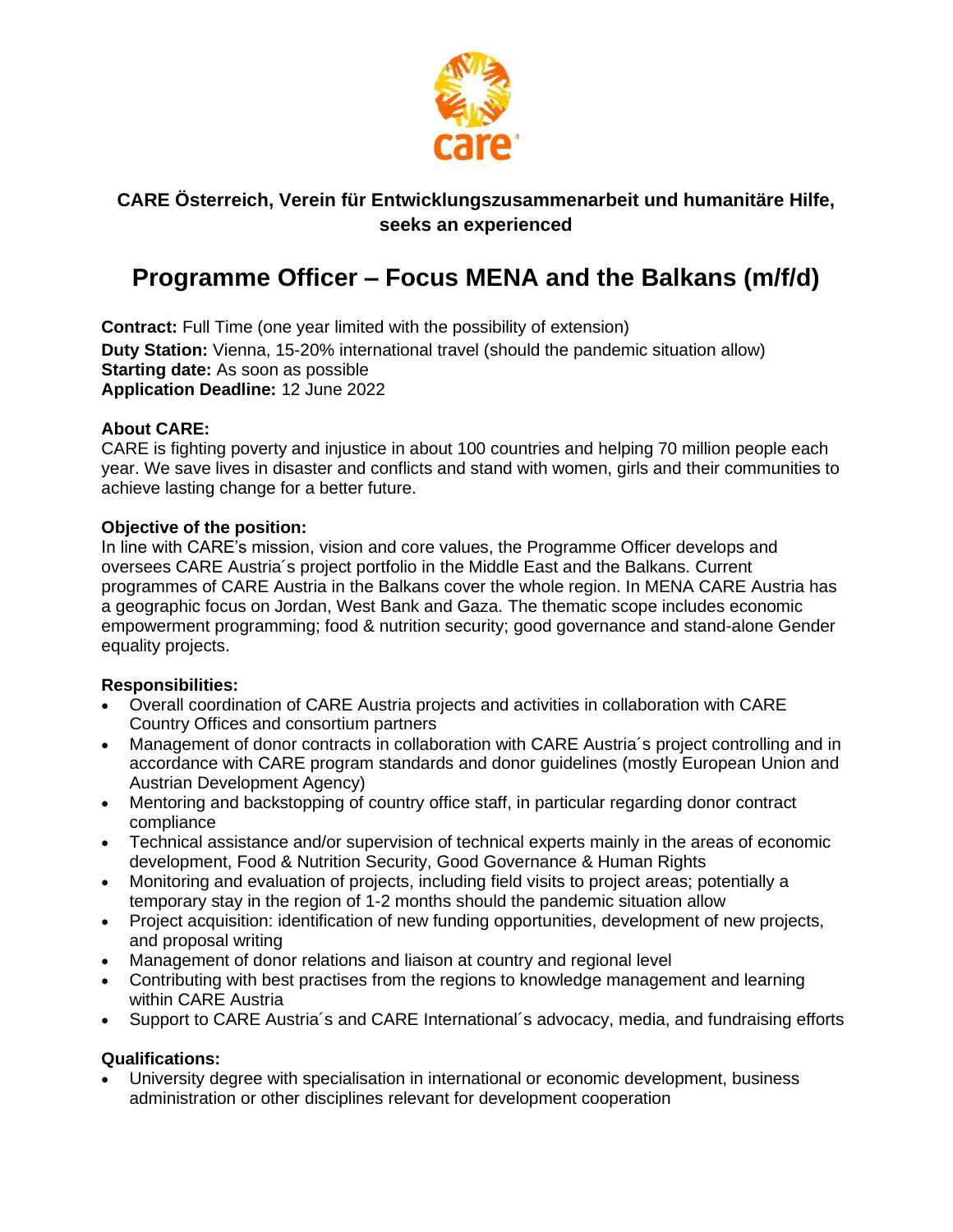

## **CARE Österreich, Verein für Entwicklungszusammenarbeit und humanitäre Hilfe, seeks an experienced**

# **Programme Officer – Focus MENA and the Balkans (m/f/d)**

**Contract:** Full Time (one year limited with the possibility of extension) **Duty Station:** Vienna, 15-20% international travel (should the pandemic situation allow) **Starting date:** As soon as possible **Application Deadline:** 12 June 2022

### **About CARE:**

CARE is fighting poverty and injustice in about 100 countries and helping 70 million people each year. We save lives in disaster and conflicts and stand with women, girls and their communities to achieve lasting change for a better future.

### **Objective of the position:**

In line with CARE's mission, vision and core values, the Programme Officer develops and oversees CARE Austria´s project portfolio in the Middle East and the Balkans. Current programmes of CARE Austria in the Balkans cover the whole region. In MENA CARE Austria has a geographic focus on Jordan, West Bank and Gaza. The thematic scope includes economic empowerment programming; food & nutrition security; good governance and stand-alone Gender equality projects.

### **Responsibilities:**

- Overall coordination of CARE Austria projects and activities in collaboration with CARE Country Offices and consortium partners
- Management of donor contracts in collaboration with CARE Austria´s project controlling and in accordance with CARE program standards and donor guidelines (mostly European Union and Austrian Development Agency)
- Mentoring and backstopping of country office staff, in particular regarding donor contract compliance
- Technical assistance and/or supervision of technical experts mainly in the areas of economic development, Food & Nutrition Security, Good Governance & Human Rights
- Monitoring and evaluation of projects, including field visits to project areas; potentially a temporary stay in the region of 1-2 months should the pandemic situation allow
- Project acquisition: identification of new funding opportunities, development of new projects, and proposal writing
- Management of donor relations and liaison at country and regional level
- Contributing with best practises from the regions to knowledge management and learning within CARE Austria
- Support to CARE Austria's and CARE International's advocacy, media, and fundraising efforts

### **Qualifications:**

• University degree with specialisation in international or economic development, business administration or other disciplines relevant for development cooperation